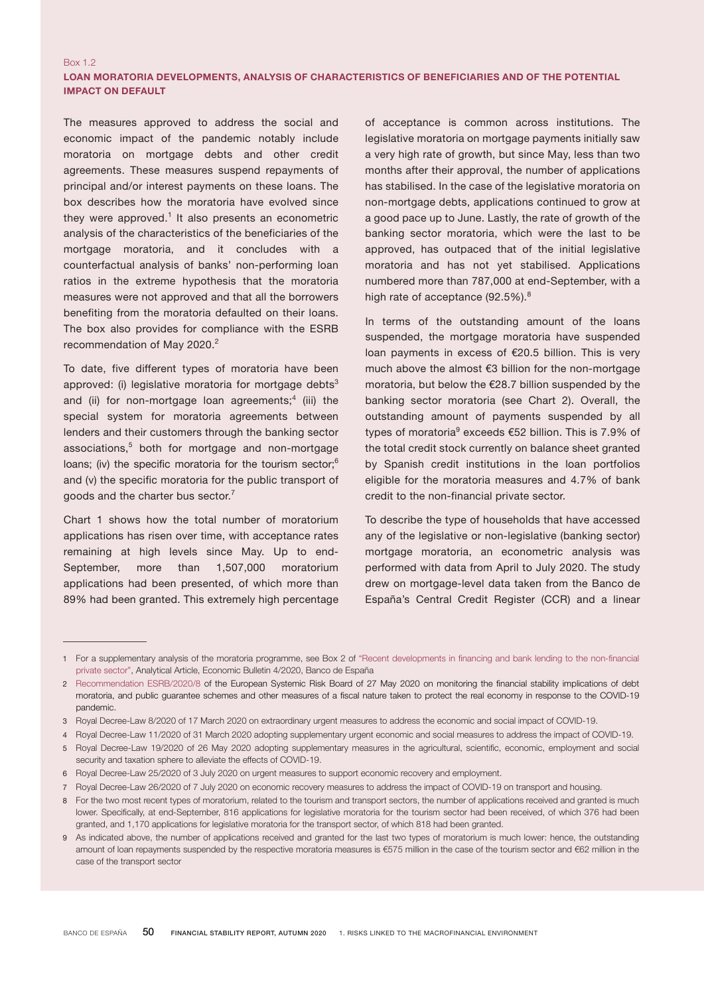# LOAN MORATORIA DEVELOPMENTS, ANALYSIS OF CHARACTERISTICS OF BENEFICIARIES AND OF THE POTENTIAL IMPACT ON DEFAULT

The measures approved to address the social and economic impact of the pandemic notably include moratoria on mortgage debts and other credit agreements. These measures suspend repayments of principal and/or interest payments on these loans. The box describes how the moratoria have evolved since they were approved.<sup>1</sup> It also presents an econometric analysis of the characteristics of the beneficiaries of the mortgage moratoria, and it concludes with a counterfactual analysis of banks' non-performing loan ratios in the extreme hypothesis that the moratoria measures were not approved and that all the borrowers benefiting from the moratoria defaulted on their loans. The box also provides for compliance with the ESRB recommendation of May 2020.<sup>2</sup>

Box 1.2

To date, five different types of moratoria have been approved: (i) legislative moratoria for mortgage debts $3$ and (ii) for non-mortgage loan agreements; $4$  (iii) the special system for moratoria agreements between lenders and their customers through the banking sector associations,<sup>5</sup> both for mortgage and non-mortgage loans; (iv) the specific moratoria for the tourism sector;<sup>6</sup> and (v) the specific moratoria for the public transport of goods and the charter bus sector.<sup>7</sup>

Chart 1 shows how the total number of moratorium applications has risen over time, with acceptance rates remaining at high levels since May. Up to end-September, more than 1,507,000 moratorium applications had been presented, of which more than 89% had been granted. This extremely high percentage

of acceptance is common across institutions. The legislative moratoria on mortgage payments initially saw a very high rate of growth, but since May, less than two months after their approval, the number of applications has stabilised. In the case of the legislative moratoria on non-mortgage debts, applications continued to grow at a good pace up to June. Lastly, the rate of growth of the banking sector moratoria, which were the last to be approved, has outpaced that of the initial legislative moratoria and has not yet stabilised. Applications numbered more than 787,000 at end-September, with a high rate of acceptance (92.5%).<sup>8</sup>

In terms of the outstanding amount of the loans suspended, the mortgage moratoria have suspended loan payments in excess of €20.5 billion. This is very much above the almost €3 billion for the non-mortgage moratoria, but below the €28.7 billion suspended by the banking sector moratoria (see Chart 2). Overall, the outstanding amount of payments suspended by all types of moratoria<sup>9</sup> exceeds €52 billion. This is 7.9% of the total credit stock currently on balance sheet granted by Spanish credit institutions in the loan portfolios eligible for the moratoria measures and 4.7% of bank credit to the non-financial private sector.

To describe the type of households that have accessed any of the legislative or non-legislative (banking sector) mortgage moratoria, an econometric analysis was performed with data from April to July 2020. The study drew on mortgage-level data taken from the Banco de España's Central Credit Register (CCR) and a linear

<sup>1</sup> For a supplementary analysis of the moratoria programme, see Box 2 of "Recent [developments](https://www.bde.es/f/webbde/SES/Secciones/Publicaciones/InformesBoletinesRevistas/ArticulosAnaliticos/20/T4/descargar/Files/be2004-art28e.pdf) in financing and bank lending to the non-financial private [sector"](https://www.bde.es/f/webbde/SES/Secciones/Publicaciones/InformesBoletinesRevistas/ArticulosAnaliticos/20/T4/descargar/Files/be2004-art28e.pdf), Analytical Article, Economic Bulletin 4/2020, Banco de España

<sup>2</sup> [Recommendation ESRB/2020/8](https://www.esrb.europa.eu/pub/pdf/recommendations/esrb.recommendation200608_on_monitoring_financial_implications_of_fiscal_support_measures_in_response_to_the_COVID-19_pandemic_3~c745d54b59.en.pdf?54cbe18c12989866cb716a13b053d0f8) of the European Systemic Risk Board of 27 May 2020 on monitoring the financial stability implications of debt moratoria, and public guarantee schemes and other measures of a fiscal nature taken to protect the real economy in response to the COVID-19 pandemic.

<sup>3</sup> Royal Decree-Law 8/2020 of 17 March 2020 on extraordinary urgent measures to address the economic and social impact of COVID-19.

<sup>4</sup> Royal Decree-Law 11/2020 of 31 March 2020 adopting supplementary urgent economic and social measures to address the impact of COVID-19.

<sup>5</sup> Royal Decree-Law 19/2020 of 26 May 2020 adopting supplementary measures in the agricultural, scientific, economic, employment and social security and taxation sphere to alleviate the effects of COVID-19.

<sup>6</sup> Royal Decree-Law 25/2020 of 3 July 2020 on urgent measures to support economic recovery and employment.

<sup>7</sup> Royal Decree-Law 26/2020 of 7 July 2020 on economic recovery measures to address the impact of COVID-19 on transport and housing.

<sup>8</sup> For the two most recent types of moratorium, related to the tourism and transport sectors, the number of applications received and granted is much lower. Specifically, at end-September, 816 applications for legislative moratoria for the tourism sector had been received, of which 376 had been granted, and 1,170 applications for legislative moratoria for the transport sector, of which 818 had been granted.

<sup>9</sup> As indicated above, the number of applications received and granted for the last two types of moratorium is much lower: hence, the outstanding amount of loan repayments suspended by the respective moratoria measures is €575 million in the case of the tourism sector and €62 million in the case of the transport sector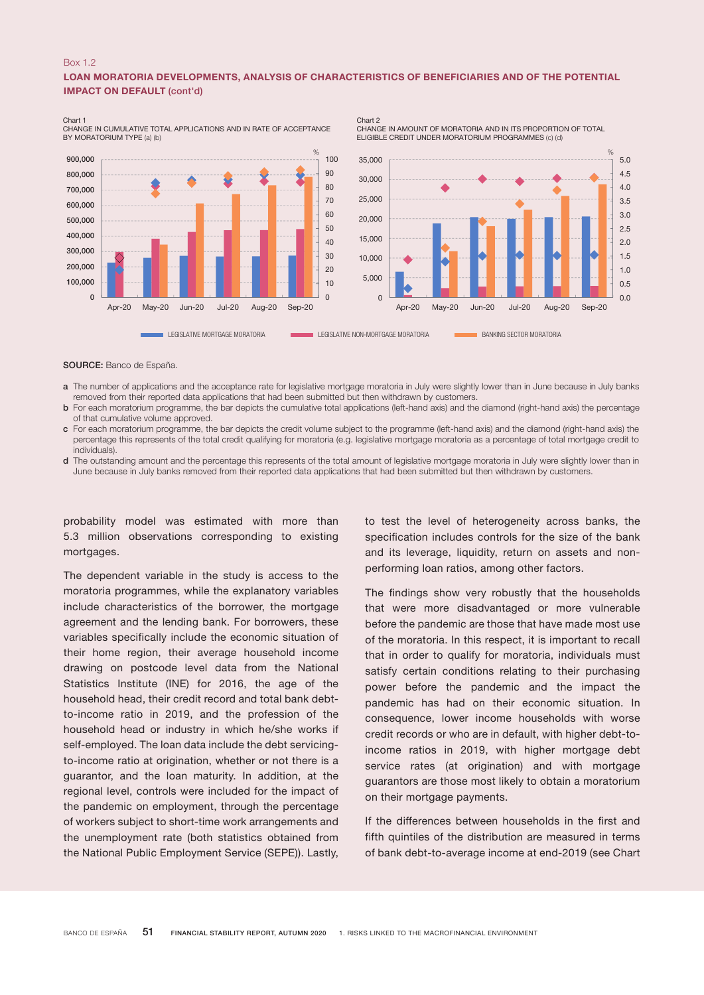### Box 1.2

## LOAN MORATORIA DEVELOPMENTS, ANALYSIS OF CHARACTERISTICS OF BENEFICIARIES AND OF THE POTENTIAL IMPACT ON DEFAULT (cont'd)

Chart 2

 $\Omega$ 10 20 30 40 50  $60$ 70 80 90 100  $\Omega$ 100,000 200,000 300,000 400,000 500,000 600,000 700,000 800,000 900,000 Apr-20 May-20 Jun-20 Jul-20 Aug-20 Sep-20 %  $0.0$ 0.5 1.0 1.5 2.0 2.5 3.0 3.5 4.0 4.5 5.0  $\overline{0}$ 5,000 10,000 15,000 20,000 25,000 30,000 35,000 Apr-20 May-20 Jun-20 Jul-20 Aug-20 Sep-20  $%$ LEGISLATIVE MORTGAGE MORATORIA LEGISLATIVE NON-MORTGAGE MORATORIA LEGISLATIVE NON-MORTGAGE MORATORIA

Chart 1 CHANGE IN CUMULATIVE TOTAL APPLICATIONS AND IN RATE OF ACCEPTANCE BY MORATORIUM TYPE (a) (b)

SOURCE: Banco de España.

- a The number of applications and the acceptance rate for legislative mortgage moratoria in July were slightly lower than in June because in July banks removed from their reported data applications that had been submitted but then withdrawn by customers.
- b For each moratorium programme, the bar depicts the cumulative total applications (left-hand axis) and the diamond (right-hand axis) the percentage of that cumulative volume approved.
- c For each moratorium programme, the bar depicts the credit volume subject to the programme (left-hand axis) and the diamond (right-hand axis) the percentage this represents of the total credit qualifying for moratoria (e.g. legislative mortgage moratoria as a percentage of total mortgage credit to individuals).
- d The outstanding amount and the percentage this represents of the total amount of legislative mortgage moratoria in July were slightly lower than in June because in July banks removed from their reported data applications that had been submitted but then withdrawn by customers.

probability model was estimated with more than 5.3 million observations corresponding to existing mortgages.

The dependent variable in the study is access to the moratoria programmes, while the explanatory variables include characteristics of the borrower, the mortgage agreement and the lending bank. For borrowers, these variables specifically include the economic situation of their home region, their average household income drawing on postcode level data from the National Statistics Institute (INE) for 2016, the age of the household head, their credit record and total bank debtto-income ratio in 2019, and the profession of the household head or industry in which he/she works if self-employed. The loan data include the debt servicingto-income ratio at origination, whether or not there is a guarantor, and the loan maturity. In addition, at the regional level, controls were included for the impact of the pandemic on employment, through the percentage of workers subject to short-time work arrangements and the unemployment rate (both statistics obtained from the National Public Employment Service (SEPE)). Lastly,

to test the level of heterogeneity across banks, the specification includes controls for the size of the bank and its leverage, liquidity, return on assets and nonperforming loan ratios, among other factors.

CHANGE IN AMOUNT OF MORATORIA AND IN ITS PROPORTION OF TOTAL ELIGIBLE CREDIT UNDER MORATORIUM PROGRAMMES (c) (d)

The findings show very robustly that the households that were more disadvantaged or more vulnerable before the pandemic are those that have made most use of the moratoria. In this respect, it is important to recall that in order to qualify for moratoria, individuals must satisfy certain conditions relating to their purchasing power before the pandemic and the impact the pandemic has had on their economic situation. In consequence, lower income households with worse credit records or who are in default, with higher debt-toincome ratios in 2019, with higher mortgage debt service rates (at origination) and with mortgage guarantors are those most likely to obtain a moratorium on their mortgage payments.

If the differences between households in the first and fifth quintiles of the distribution are measured in terms of bank debt-to-average income at end-2019 (see Chart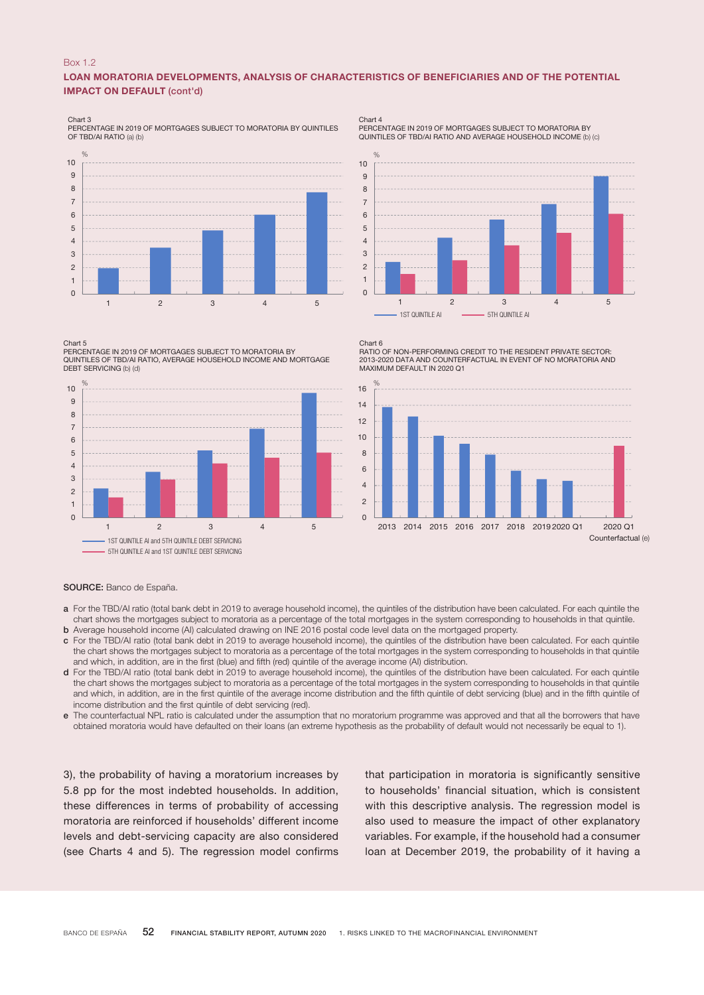## Box 1.2

## LOAN MORATORIA DEVELOPMENTS, ANALYSIS OF CHARACTERISTICS OF BENEFICIARIES AND OF THE POTENTIAL IMPACT ON DEFAULT (cont'd)

Chart 3

PERCENTAGE IN 2019 OF MORTGAGES SUBJECT TO MORATORIA BY QUINTILES OF TBD/AI RATIO (a) (b)



#### Chart 5

PERCENTAGE IN 2019 OF MORTGAGES SUBJECT TO MORATORIA BY QUINTILES OF TBD/AI RATIO, AVERAGE HOUSEHOLD INCOME AND MORTGAGE DEBT SERVICING (b) (d)



Chart 4 PERCENTAGE IN 2019 OF MORTGAGES SUBJECT TO MORATORIA BY QUINTILES OF TBD/AI RATIO AND AVERAGE HOUSEHOLD INCOME (b) (c)



Chart 6 RATIO OF NON-PERFORMING CREDIT TO THE RESIDENT PRIVATE SECTOR: 2013-2020 DATA AND COUNTERFACTUAL IN EVENT OF NO MORATORIA AND MAXIMUM DEFAULT IN 2020 Q1



#### SOURCE: Banco de España.

- a For the TBD/AI ratio (total bank debt in 2019 to average household income), the quintiles of the distribution have been calculated. For each quintile the chart shows the mortgages subject to moratoria as a percentage of the total mortgages in the system corresponding to households in that quintile. b Average household income (AI) calculated drawing on INE 2016 postal code level data on the mortgaged property.
- c For the TBD/AI ratio (total bank debt in 2019 to average household income), the quintiles of the distribution have been calculated. For each quintile the chart shows the mortgages subject to moratoria as a percentage of the total mortgages in the system corresponding to households in that quintile and which, in addition, are in the first (blue) and fifth (red) quintile of the average income (AI) distribution.
- d For the TBD/AI ratio (total bank debt in 2019 to average household income), the quintiles of the distribution have been calculated. For each quintile the chart shows the mortgages subject to moratoria as a percentage of the total mortgages in the system corresponding to households in that quintile and which, in addition, are in the first quintile of the average income distribution and the fifth quintile of debt servicing (blue) and in the fifth quintile of income distribution and the first quintile of debt servicing (red).
- e The counterfactual NPL ratio is calculated under the assumption that no moratorium programme was approved and that all the borrowers that have obtained moratoria would have defaulted on their loans (an extreme hypothesis as the probability of default would not necessarily be equal to 1).

3), the probability of having a moratorium increases by 5.8 pp for the most indebted households. In addition, these differences in terms of probability of accessing moratoria are reinforced if households' different income levels and debt-servicing capacity are also considered (see Charts 4 and 5). The regression model confirms

that participation in moratoria is significantly sensitive to households' financial situation, which is consistent with this descriptive analysis. The regression model is also used to measure the impact of other explanatory variables. For example, if the household had a consumer loan at December 2019, the probability of it having a